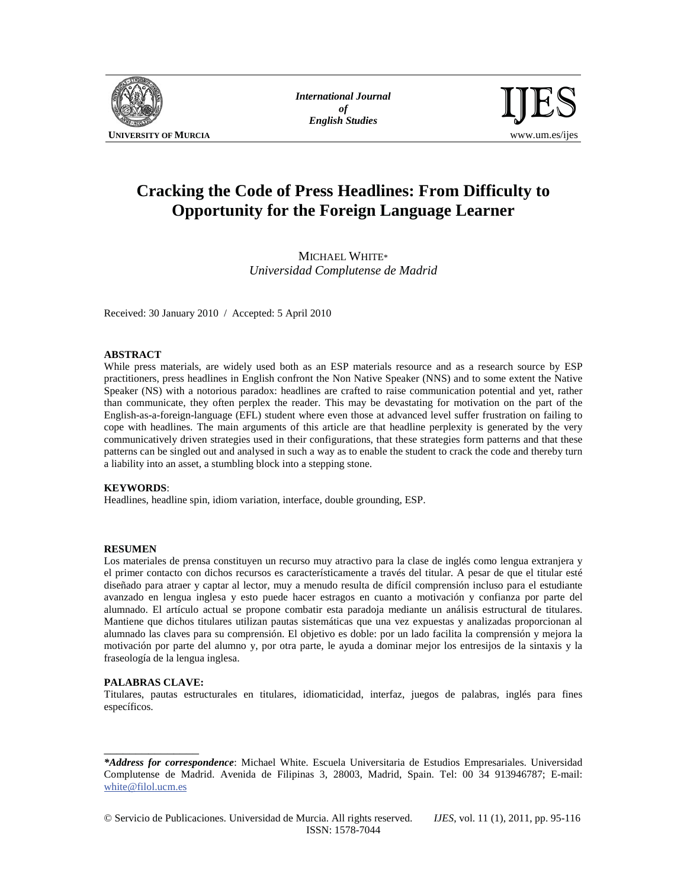

*International Journal of*

*ernational Journal*<br>*of*<br>English Studies **IJES** 

# **Cracking the Code of Press Headlines: From Difficulty to Opportunity for the Foreign Language Learner**

MICHAEL WHITE\* *Universidad Complutense de Madrid*

Received: 30 January 2010 / Accepted: 5 April 2010

#### **ABSTRACT**

While press materials, are widely used both as an ESP materials resource and as a research source by ESP practitioners, press headlines in English confront the Non Native Speaker (NNS) and to some extent the Native Speaker (NS) with a notorious paradox: headlines are crafted to raise communication potential and yet, rather than communicate, they often perplex the reader. This may be devastating for motivation on the part of the English-as-a-foreign-language (EFL) student where even those at advanced level suffer frustration on failing to cope with headlines. The main arguments of this article are that headline perplexity is generated by the very communicatively driven strategies used in their configurations, that these strategies form patterns and that these patterns can be singled out and analysed in such a way as to enable the student to crack the code and thereby turn a liability into an asset, a stumbling block into a stepping stone.

#### **KEYWORDS**:

Headlines, headline spin, idiom variation, interface, double grounding, ESP.

#### **RESUMEN**

Los materiales de prensa constituyen un recurso muy atractivo para la clase de inglés como lengua extranjera y el primer contacto con dichos recursos es característicamente a través del titular. A pesar de que el titular esté diseñado para atraer y captar al lector, muy a menudo resulta de difícil comprensión incluso para el estudiante avanzado en lengua inglesa y esto puede hacer estragos en cuanto a motivación y confianza por parte del alumnado. El artículo actual se propone combatir esta paradoja mediante un análisis estructural de titulares. Mantiene que dichos titulares utilizan pautas sistemáticas que una vez expuestas y analizadas proporcionan al alumnado las claves para su comprensión. El objetivo es doble: por un lado facilita la comprensión y mejora la motivación por parte del alumno y, por otra parte, le ayuda a dominar mejor los entresijos de la sintaxis y la fraseología de la lengua inglesa.

#### **PALABRAS CLAVE:**

\_\_\_\_\_\_\_\_\_\_\_\_\_\_\_

Titulares, pautas estructurales en titulares, idiomaticidad, interfaz, juegos de palabras, inglés para fines específicos.

*<sup>\*</sup>Address for correspondence*: Michael White. Escuela Universitaria de Estudios Empresariales. Universidad Complutense de Madrid. Avenida de Filipinas 3, 28003, Madrid, Spain. Tel: 00 34 913946787; E-mail: white@filol.ucm.es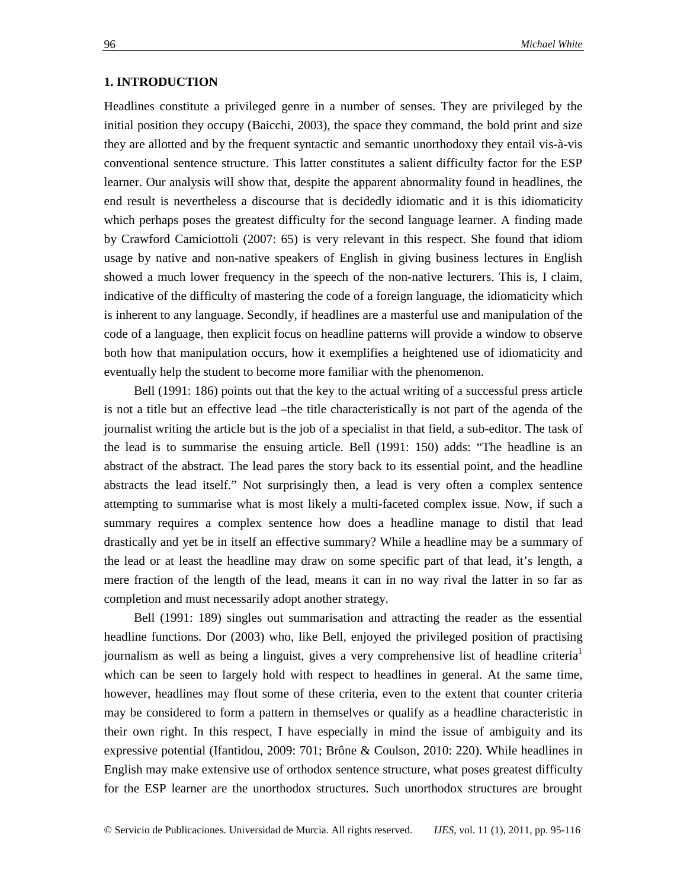## **1. INTRODUCTION**

Headlines constitute a privileged genre in a number of senses. They are privileged by the initial position they occupy (Baicchi, 2003), the space they command, the bold print and size they are allotted and by the frequent syntactic and semantic unorthodoxy they entail vis-à-vis conventional sentence structure. This latter constitutes a salient difficulty factor for the ESP learner. Our analysis will show that, despite the apparent abnormality found in headlines, the end result is nevertheless a discourse that is decidedly idiomatic and it is this idiomaticity which perhaps poses the greatest difficulty for the second language learner. A finding made by Crawford Camiciottoli (2007: 65) is very relevant in this respect. She found that idiom usage by native and non-native speakers of English in giving business lectures in English showed a much lower frequency in the speech of the non-native lecturers. This is, I claim, indicative of the difficulty of mastering the code of a foreign language, the idiomaticity which is inherent to any language. Secondly, if headlines are a masterful use and manipulation of the code of a language, then explicit focus on headline patterns will provide a window to observe both how that manipulation occurs, how it exemplifies a heightened use of idiomaticity and eventually help the student to become more familiar with the phenomenon.

Bell (1991: 186) points out that the key to the actual writing of a successful press article is not a title but an effective lead –the title characteristically is not part of the agenda of the journalist writing the article but is the job of a specialist in that field, a sub-editor. The task of the lead is to summarise the ensuing article. Bell (1991: 150) adds: "The headline is an abstract of the abstract. The lead pares the story back to its essential point, and the headline abstracts the lead itself." Not surprisingly then, a lead is very often a complex sentence attempting to summarise what is most likely a multi-faceted complex issue. Now, if such a summary requires a complex sentence how does a headline manage to distil that lead drastically and yet be in itself an effective summary? While a headline may be a summary of the lead or at least the headline may draw on some specific part of that lead, it's length, a mere fraction of the length of the lead, means it can in no way rival the latter in so far as completion and must necessarily adopt another strategy.

Bell (1991: 189) singles out summarisation and attracting the reader as the essential headline functions. Dor (2003) who, like Bell, enjoyed the privileged position of practising journalism as well as being a linguist, gives a very comprehensive list of headline criteria<sup>1</sup> which can be seen to largely hold with respect to headlines in general. At the same time, however, headlines may flout some of these criteria, even to the extent that counter criteria may be considered to form a pattern in themselves or qualify as a headline characteristic in their own right. In this respect, I have especially in mind the issue of ambiguity and its expressive potential (Ifantidou, 2009: 701; Brône & Coulson, 2010: 220). While headlines in English may make extensive use of orthodox sentence structure, what poses greatest difficulty for the ESP learner are the unorthodox structures. Such unorthodox structures are brought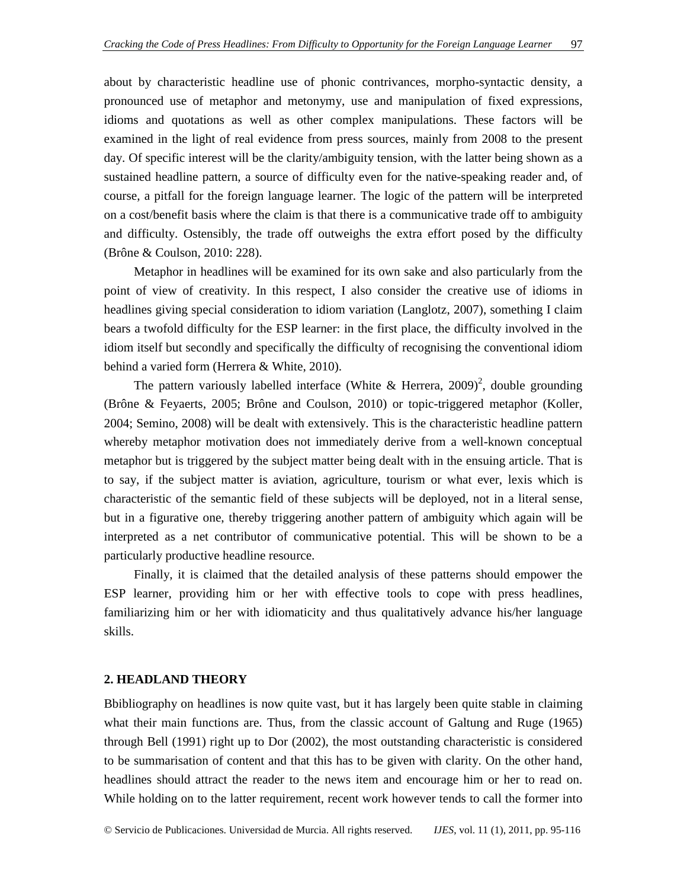about by characteristic headline use of phonic contrivances, morpho-syntactic density, a pronounced use of metaphor and metonymy, use and manipulation of fixed expressions, idioms and quotations as well as other complex manipulations. These factors will be examined in the light of real evidence from press sources, mainly from 2008 to the present day. Of specific interest will be the clarity/ambiguity tension, with the latter being shown as a sustained headline pattern, a source of difficulty even for the native-speaking reader and, of course, a pitfall for the foreign language learner. The logic of the pattern will be interpreted on a cost/benefit basis where the claim is that there is a communicative trade off to ambiguity and difficulty. Ostensibly, the trade off outweighs the extra effort posed by the difficulty (Brône & Coulson, 2010: 228).

Metaphor in headlines will be examined for its own sake and also particularly from the point of view of creativity. In this respect, I also consider the creative use of idioms in headlines giving special consideration to idiom variation (Langlotz, 2007), something I claim bears a twofold difficulty for the ESP learner: in the first place, the difficulty involved in the idiom itself but secondly and specifically the difficulty of recognising the conventional idiom behind a varied form (Herrera & White, 2010).

The pattern variously labelled interface (White & Herrera, 2009)<sup>2</sup>, double grounding (Brône & Feyaerts, 2005; Brône and Coulson, 2010) or topic-triggered metaphor (Koller, 2004; Semino, 2008) will be dealt with extensively. This is the characteristic headline pattern whereby metaphor motivation does not immediately derive from a well-known conceptual metaphor but is triggered by the subject matter being dealt with in the ensuing article. That is to say, if the subject matter is aviation, agriculture, tourism or what ever, lexis which is characteristic of the semantic field of these subjects will be deployed, not in a literal sense, but in a figurative one, thereby triggering another pattern of ambiguity which again will be interpreted as a net contributor of communicative potential. This will be shown to be a particularly productive headline resource.

Finally, it is claimed that the detailed analysis of these patterns should empower the ESP learner, providing him or her with effective tools to cope with press headlines, familiarizing him or her with idiomaticity and thus qualitatively advance his/her language skills.

## **2. HEADLAND THEORY**

Bbibliography on headlines is now quite vast, but it has largely been quite stable in claiming what their main functions are. Thus, from the classic account of Galtung and Ruge (1965) through Bell (1991) right up to Dor (2002), the most outstanding characteristic is considered to be summarisation of content and that this has to be given with clarity. On the other hand, headlines should attract the reader to the news item and encourage him or her to read on. While holding on to the latter requirement, recent work however tends to call the former into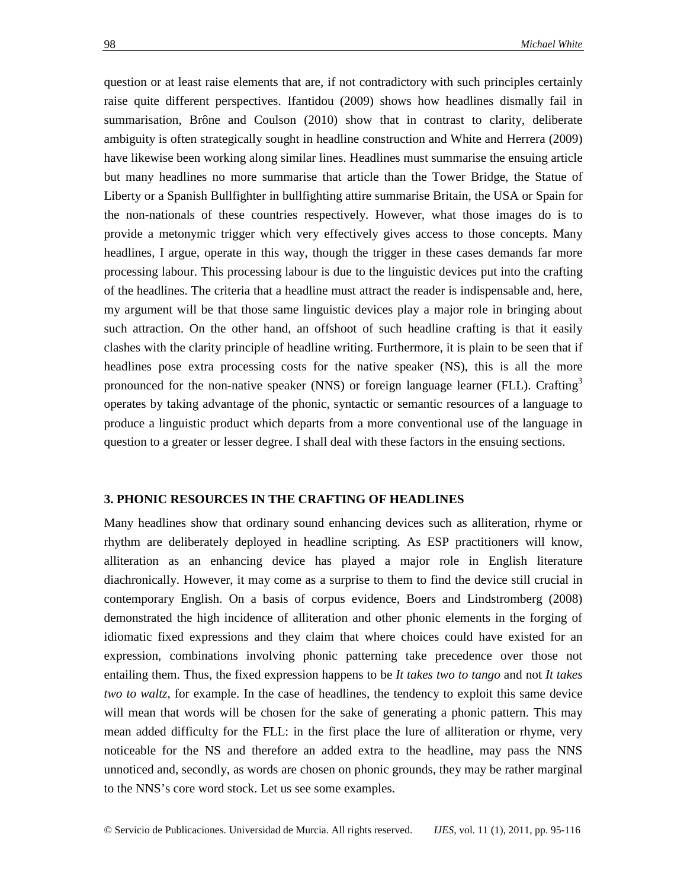question or at least raise elements that are, if not contradictory with such principles certainly raise quite different perspectives. Ifantidou (2009) shows how headlines dismally fail in summarisation, Brône and Coulson (2010) show that in contrast to clarity, deliberate ambiguity is often strategically sought in headline construction and White and Herrera (2009) have likewise been working along similar lines. Headlines must summarise the ensuing article but many headlines no more summarise that article than the Tower Bridge, the Statue of Liberty or a Spanish Bullfighter in bullfighting attire summarise Britain, the USA or Spain for the non-nationals of these countries respectively. However, what those images do is to provide a metonymic trigger which very effectively gives access to those concepts. Many headlines, I argue, operate in this way, though the trigger in these cases demands far more processing labour. This processing labour is due to the linguistic devices put into the crafting of the headlines. The criteria that a headline must attract the reader is indispensable and, here, my argument will be that those same linguistic devices play a major role in bringing about such attraction. On the other hand, an offshoot of such headline crafting is that it easily clashes with the clarity principle of headline writing. Furthermore, it is plain to be seen that if headlines pose extra processing costs for the native speaker (NS), this is all the more pronounced for the non-native speaker (NNS) or foreign language learner (FLL). Crafting<sup>3</sup> operates by taking advantage of the phonic, syntactic or semantic resources of a language to produce a linguistic product which departs from a more conventional use of the language in question to a greater or lesser degree. I shall deal with these factors in the ensuing sections.

## **3. PHONIC RESOURCES IN THE CRAFTING OF HEADLINES**

Many headlines show that ordinary sound enhancing devices such as alliteration, rhyme or rhythm are deliberately deployed in headline scripting. As ESP practitioners will know, alliteration as an enhancing device has played a major role in English literature diachronically. However, it may come as a surprise to them to find the device still crucial in contemporary English. On a basis of corpus evidence, Boers and Lindstromberg (2008) demonstrated the high incidence of alliteration and other phonic elements in the forging of idiomatic fixed expressions and they claim that where choices could have existed for an expression, combinations involving phonic patterning take precedence over those not entailing them. Thus, the fixed expression happens to be *It takes two to tango* and not *It takes two to waltz*, for example. In the case of headlines, the tendency to exploit this same device will mean that words will be chosen for the sake of generating a phonic pattern. This may mean added difficulty for the FLL: in the first place the lure of alliteration or rhyme, very noticeable for the NS and therefore an added extra to the headline, may pass the NNS unnoticed and, secondly, as words are chosen on phonic grounds, they may be rather marginal to the NNS's core word stock. Let us see some examples.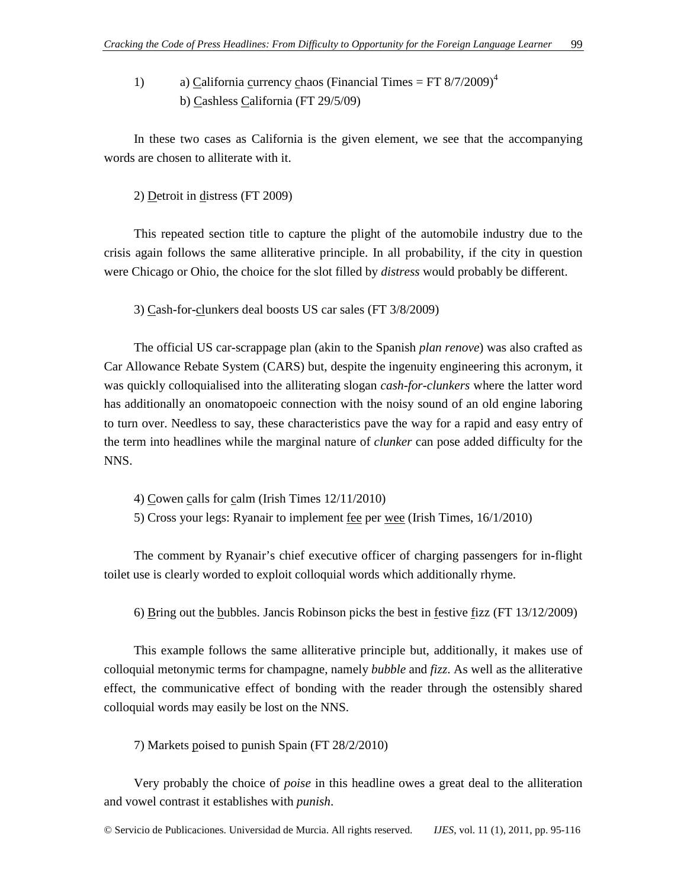1) a) California currency chaos (Financial Times  $=$  FT 8/7/2009)<sup>4</sup> b) Cashless California (FT 29/5/09)

In these two cases as California is the given element, we see that the accompanying words are chosen to alliterate with it.

2) Detroit in distress (FT 2009)

This repeated section title to capture the plight of the automobile industry due to the crisis again follows the same alliterative principle. In all probability, if the city in question were Chicago or Ohio, the choice for the slot filled by *distress* would probably be different.

3) Cash-for-clunkers deal boosts US car sales (FT 3/8/2009)

The official US car-scrappage plan (akin to the Spanish *plan renove*) was also crafted as Car Allowance Rebate System (CARS) but, despite the ingenuity engineering this acronym, it was quickly colloquialised into the alliterating slogan *cash-for-clunkers* where the latter word has additionally an onomatopoeic connection with the noisy sound of an old engine laboring to turn over. Needless to say, these characteristics pave the way for a rapid and easy entry of the term into headlines while the marginal nature of *clunker* can pose added difficulty for the NNS.

4) Cowen calls for calm (Irish Times  $12/11/2010$ )

5) Cross your legs: Ryanair to implement fee per wee (Irish Times, 16/1/2010)

The comment by Ryanair's chief executive officer of charging passengers for in-flight toilet use is clearly worded to exploit colloquial words which additionally rhyme.

6) Bring out the bubbles. Jancis Robinson picks the best in festive fizz (FT 13/12/2009)

This example follows the same alliterative principle but, additionally, it makes use of colloquial metonymic terms for champagne, namely *bubble* and *fizz*. As well as the alliterative effect, the communicative effect of bonding with the reader through the ostensibly shared colloquial words may easily be lost on the NNS.

7) Markets poised to punish Spain (FT 28/2/2010)

Very probably the choice of *poise* in this headline owes a great deal to the alliteration and vowel contrast it establishes with *punish*.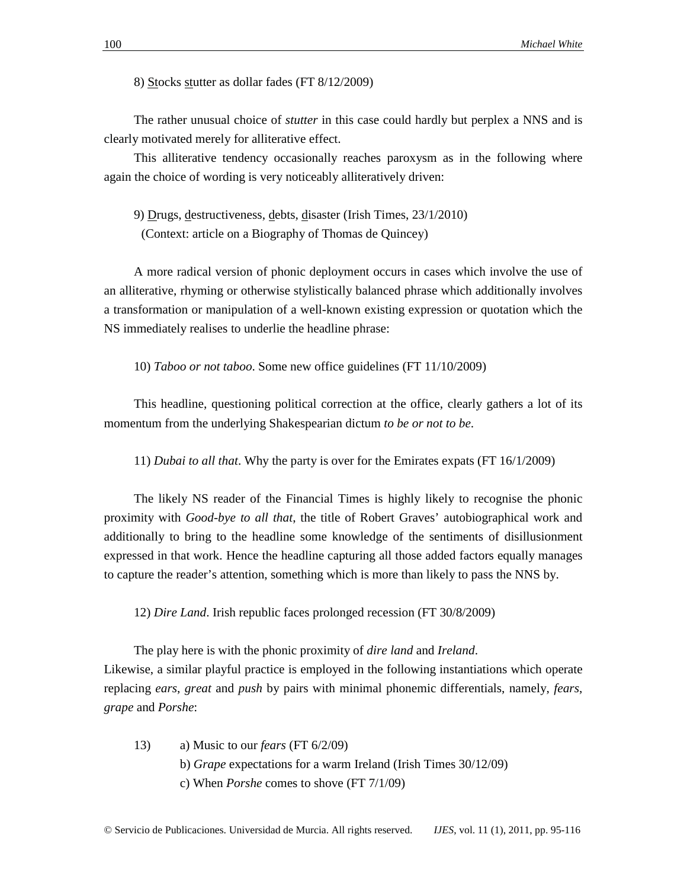8) Stocks stutter as dollar fades (FT 8/12/2009)

The rather unusual choice of *stutter* in this case could hardly but perplex a NNS and is clearly motivated merely for alliterative effect.

This alliterative tendency occasionally reaches paroxysm as in the following where again the choice of wording is very noticeably alliteratively driven:

9) Drugs, destructiveness, debts, disaster (Irish Times, 23/1/2010)

(Context: article on a Biography of Thomas de Quincey)

A more radical version of phonic deployment occurs in cases which involve the use of an alliterative, rhyming or otherwise stylistically balanced phrase which additionally involves a transformation or manipulation of a well-known existing expression or quotation which the NS immediately realises to underlie the headline phrase:

10) *Taboo or not taboo*. Some new office guidelines (FT 11/10/2009)

This headline, questioning political correction at the office, clearly gathers a lot of its momentum from the underlying Shakespearian dictum *to be or not to be*.

11) *Dubai to all that*. Why the party is over for the Emirates expats (FT 16/1/2009)

The likely NS reader of the Financial Times is highly likely to recognise the phonic proximity with *Good-bye to all that*, the title of Robert Graves' autobiographical work and additionally to bring to the headline some knowledge of the sentiments of disillusionment expressed in that work. Hence the headline capturing all those added factors equally manages to capture the reader's attention, something which is more than likely to pass the NNS by.

12) *Dire Land*. Irish republic faces prolonged recession (FT 30/8/2009)

The play here is with the phonic proximity of *dire land* and *Ireland*. Likewise, a similar playful practice is employed in the following instantiations which operate replacing *ears*, *great* and *push* by pairs with minimal phonemic differentials, namely, *fears*, *grape* and *Porshe*:

13) a) Music to our *fears* (FT 6/2/09) b) *Grape* expectations for a warm Ireland (Irish Times 30/12/09) c) When *Porshe* comes to shove (FT 7/1/09)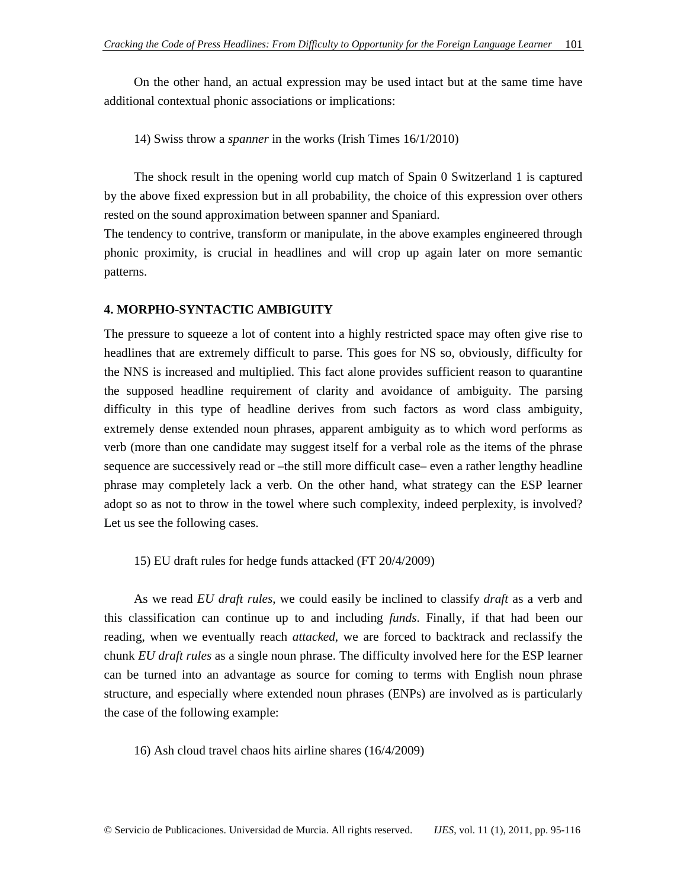On the other hand, an actual expression may be used intact but at the same time have additional contextual phonic associations or implications:

14) Swiss throw a *spanner* in the works (Irish Times 16/1/2010)

The shock result in the opening world cup match of Spain 0 Switzerland 1 is captured by the above fixed expression but in all probability, the choice of this expression over others rested on the sound approximation between spanner and Spaniard.

The tendency to contrive, transform or manipulate, in the above examples engineered through phonic proximity, is crucial in headlines and will crop up again later on more semantic patterns.

## **4. MORPHO-SYNTACTIC AMBIGUITY**

The pressure to squeeze a lot of content into a highly restricted space may often give rise to headlines that are extremely difficult to parse. This goes for NS so, obviously, difficulty for the NNS is increased and multiplied. This fact alone provides sufficient reason to quarantine the supposed headline requirement of clarity and avoidance of ambiguity. The parsing difficulty in this type of headline derives from such factors as word class ambiguity, extremely dense extended noun phrases, apparent ambiguity as to which word performs as verb (more than one candidate may suggest itself for a verbal role as the items of the phrase sequence are successively read or –the still more difficult case– even a rather lengthy headline phrase may completely lack a verb. On the other hand, what strategy can the ESP learner adopt so as not to throw in the towel where such complexity, indeed perplexity, is involved? Let us see the following cases.

15) EU draft rules for hedge funds attacked (FT 20/4/2009)

As we read *EU draft rules*, we could easily be inclined to classify *draft* as a verb and this classification can continue up to and including *funds*. Finally, if that had been our reading, when we eventually reach *attacked*, we are forced to backtrack and reclassify the chunk *EU draft rules* as a single noun phrase. The difficulty involved here for the ESP learner can be turned into an advantage as source for coming to terms with English noun phrase structure, and especially where extended noun phrases (ENPs) are involved as is particularly the case of the following example:

16) Ash cloud travel chaos hits airline shares (16/4/2009)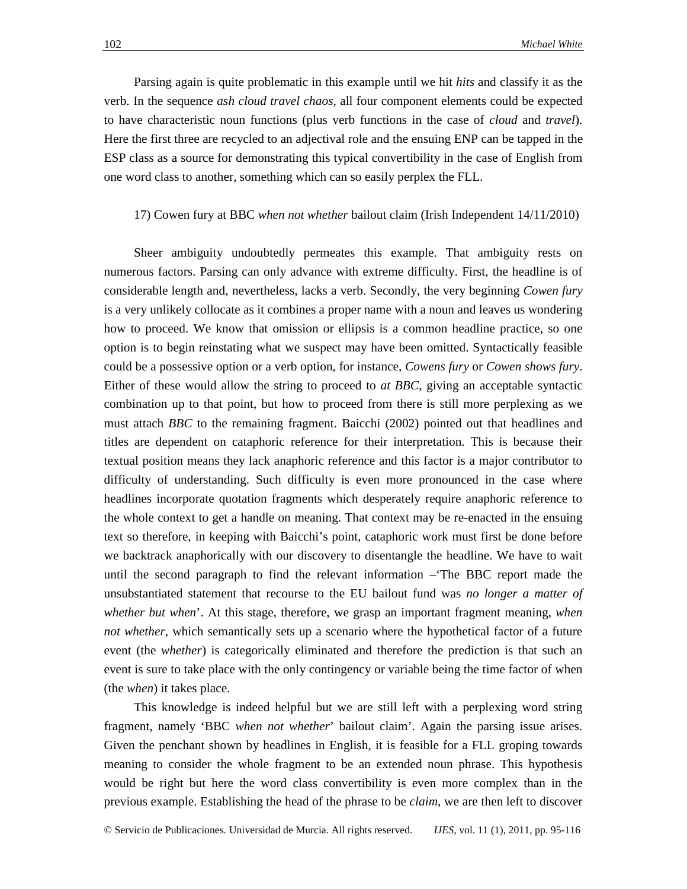Parsing again is quite problematic in this example until we hit *hits* and classify it as the verb. In the sequence *ash cloud travel chaos*, all four component elements could be expected to have characteristic noun functions (plus verb functions in the case of *cloud* and *travel*). Here the first three are recycled to an adjectival role and the ensuing ENP can be tapped in the ESP class as a source for demonstrating this typical convertibility in the case of English from one word class to another, something which can so easily perplex the FLL.

## 17) Cowen fury at BBC *when not whether* bailout claim (Irish Independent 14/11/2010)

Sheer ambiguity undoubtedly permeates this example. That ambiguity rests on numerous factors. Parsing can only advance with extreme difficulty. First, the headline is of considerable length and, nevertheless, lacks a verb. Secondly, the very beginning *Cowen fury* is a very unlikely collocate as it combines a proper name with a noun and leaves us wondering how to proceed. We know that omission or ellipsis is a common headline practice, so one option is to begin reinstating what we suspect may have been omitted. Syntactically feasible could be a possessive option or a verb option, for instance, *Cowens fury* or *Cowen shows fury*. Either of these would allow the string to proceed to *at BBC*, giving an acceptable syntactic combination up to that point, but how to proceed from there is still more perplexing as we must attach *BBC* to the remaining fragment. Baicchi (2002) pointed out that headlines and titles are dependent on cataphoric reference for their interpretation. This is because their textual position means they lack anaphoric reference and this factor is a major contributor to difficulty of understanding. Such difficulty is even more pronounced in the case where headlines incorporate quotation fragments which desperately require anaphoric reference to the whole context to get a handle on meaning. That context may be re-enacted in the ensuing text so therefore, in keeping with Baicchi's point, cataphoric work must first be done before we backtrack anaphorically with our discovery to disentangle the headline. We have to wait until the second paragraph to find the relevant information –'The BBC report made the unsubstantiated statement that recourse to the EU bailout fund was *no longer a matter of whether but when*'. At this stage, therefore, we grasp an important fragment meaning, *when not whether*, which semantically sets up a scenario where the hypothetical factor of a future event (the *whether*) is categorically eliminated and therefore the prediction is that such an event is sure to take place with the only contingency or variable being the time factor of when (the *when*) it takes place.

This knowledge is indeed helpful but we are still left with a perplexing word string fragment, namely 'BBC *when not whether*' bailout claim'. Again the parsing issue arises. Given the penchant shown by headlines in English, it is feasible for a FLL groping towards meaning to consider the whole fragment to be an extended noun phrase. This hypothesis would be right but here the word class convertibility is even more complex than in the previous example. Establishing the head of the phrase to be *claim*, we are then left to discover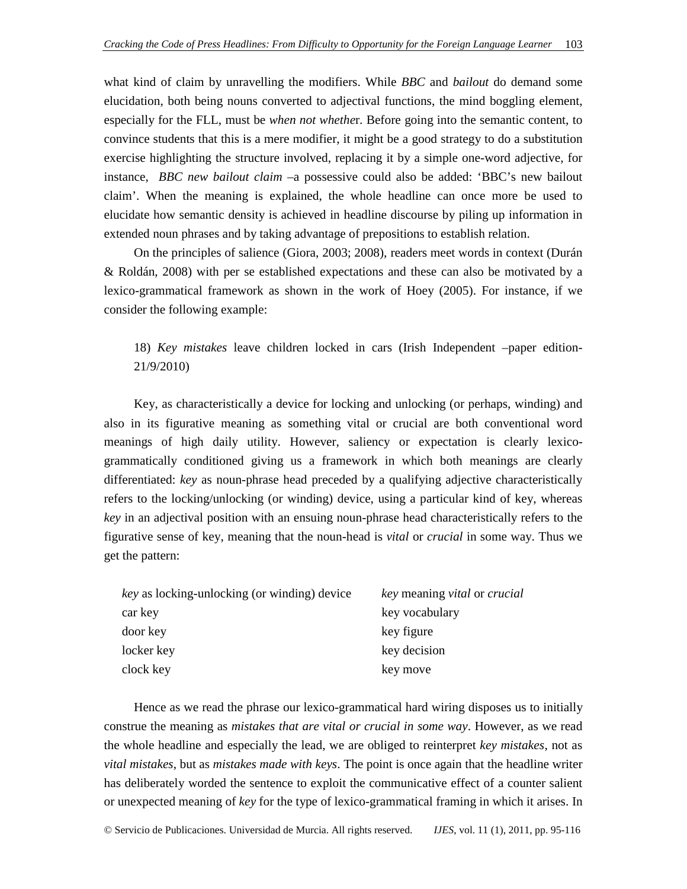what kind of claim by unravelling the modifiers. While *BBC* and *bailout* do demand some elucidation, both being nouns converted to adjectival functions, the mind boggling element, especially for the FLL, must be *when not whethe*r. Before going into the semantic content, to convince students that this is a mere modifier, it might be a good strategy to do a substitution exercise highlighting the structure involved, replacing it by a simple one-word adjective, for instance, *BBC new bailout claim* –a possessive could also be added: 'BBC's new bailout claim'. When the meaning is explained, the whole headline can once more be used to elucidate how semantic density is achieved in headline discourse by piling up information in extended noun phrases and by taking advantage of prepositions to establish relation.

On the principles of salience (Giora, 2003; 2008), readers meet words in context (Durán & Roldán, 2008) with per se established expectations and these can also be motivated by a lexico-grammatical framework as shown in the work of Hoey (2005). For instance, if we consider the following example:

## 18) *Key mistakes* leave children locked in cars (Irish Independent –paper edition-21/9/2010)

Key, as characteristically a device for locking and unlocking (or perhaps, winding) and also in its figurative meaning as something vital or crucial are both conventional word meanings of high daily utility. However, saliency or expectation is clearly lexicogrammatically conditioned giving us a framework in which both meanings are clearly differentiated: *key* as noun-phrase head preceded by a qualifying adjective characteristically refers to the locking/unlocking (or winding) device, using a particular kind of key, whereas *key* in an adjectival position with an ensuing noun-phrase head characteristically refers to the figurative sense of key, meaning that the noun-head is *vital* or *crucial* in some way. Thus we get the pattern:

| <i>key</i> as locking-unlocking (or winding) device | key meaning <i>vital</i> or <i>crucial</i> |
|-----------------------------------------------------|--------------------------------------------|
| car key                                             | key vocabulary                             |
| door key                                            | key figure                                 |
| locker key                                          | key decision                               |
| clock key                                           | key move                                   |

Hence as we read the phrase our lexico-grammatical hard wiring disposes us to initially construe the meaning as *mistakes that are vital or crucial in some way*. However, as we read the whole headline and especially the lead, we are obliged to reinterpret *key mistakes*, not as *vital mistakes*, but as *mistakes made with keys*. The point is once again that the headline writer has deliberately worded the sentence to exploit the communicative effect of a counter salient or unexpected meaning of *key* for the type of lexico-grammatical framing in which it arises. In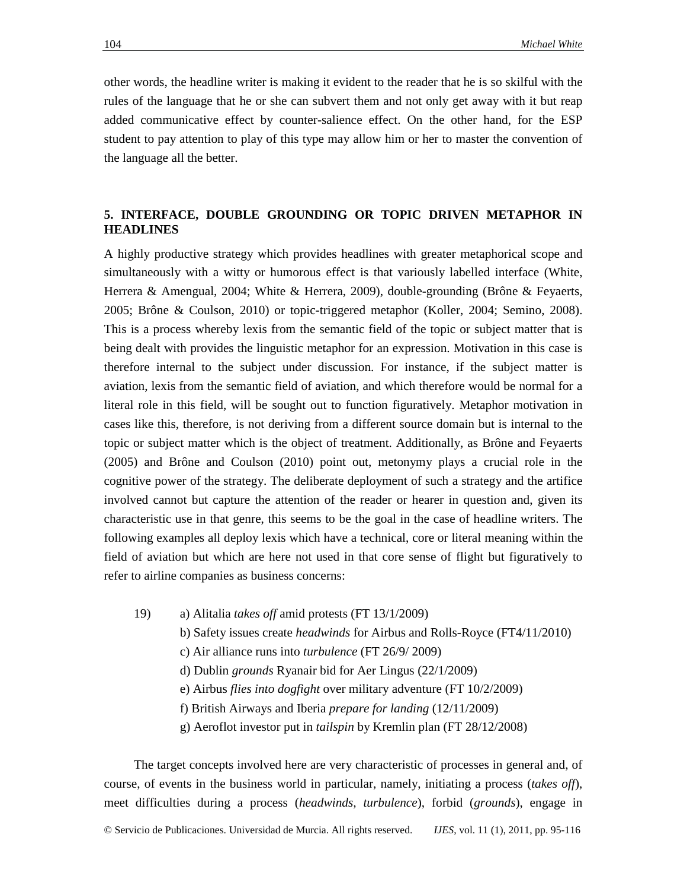other words, the headline writer is making it evident to the reader that he is so skilful with the rules of the language that he or she can subvert them and not only get away with it but reap added communicative effect by counter-salience effect. On the other hand, for the ESP student to pay attention to play of this type may allow him or her to master the convention of the language all the better.

## **5. INTERFACE, DOUBLE GROUNDING OR TOPIC DRIVEN METAPHOR IN HEADLINES**

A highly productive strategy which provides headlines with greater metaphorical scope and simultaneously with a witty or humorous effect is that variously labelled interface (White, Herrera & Amengual, 2004; White & Herrera, 2009), double-grounding (Brône & Feyaerts, 2005; Brône & Coulson, 2010) or topic-triggered metaphor (Koller, 2004; Semino, 2008). This is a process whereby lexis from the semantic field of the topic or subject matter that is being dealt with provides the linguistic metaphor for an expression. Motivation in this case is therefore internal to the subject under discussion. For instance, if the subject matter is aviation, lexis from the semantic field of aviation, and which therefore would be normal for a literal role in this field, will be sought out to function figuratively. Metaphor motivation in cases like this, therefore, is not deriving from a different source domain but is internal to the topic or subject matter which is the object of treatment. Additionally, as Brône and Feyaerts (2005) and Brône and Coulson (2010) point out, metonymy plays a crucial role in the cognitive power of the strategy. The deliberate deployment of such a strategy and the artifice involved cannot but capture the attention of the reader or hearer in question and, given its characteristic use in that genre, this seems to be the goal in the case of headline writers. The following examples all deploy lexis which have a technical, core or literal meaning within the field of aviation but which are here not used in that core sense of flight but figuratively to refer to airline companies as business concerns:

- 19) a) Alitalia *takes off* amid protests (FT 13/1/2009)
	- b) Safety issues create *headwinds* for Airbus and Rolls-Royce (FT4/11/2010)
	- c) Air alliance runs into *turbulence* (FT 26/9/ 2009)
	- d) Dublin *grounds* Ryanair bid for Aer Lingus (22/1/2009)
	- e) Airbus *flies into dogfight* over military adventure (FT 10/2/2009)
	- f) British Airways and Iberia *prepare for landing* (12/11/2009)
	- g) Aeroflot investor put in *tailspin* by Kremlin plan (FT 28/12/2008)

The target concepts involved here are very characteristic of processes in general and, of course, of events in the business world in particular, namely, initiating a process (*takes off*), meet difficulties during a process (*headwinds, turbulence*), forbid (*grounds*), engage in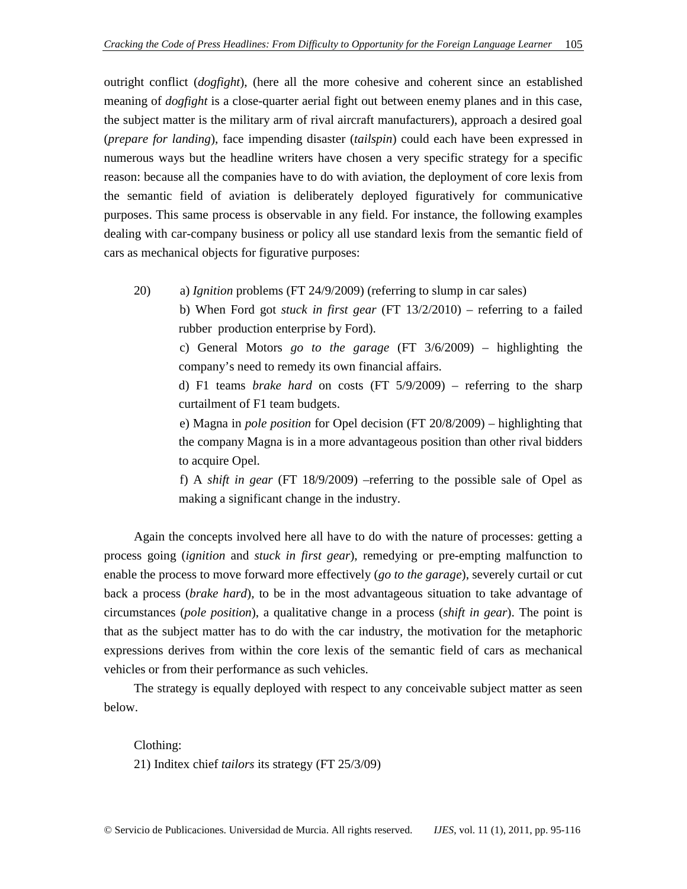outright conflict (*dogfight*), (here all the more cohesive and coherent since an established meaning of *dogfight* is a close-quarter aerial fight out between enemy planes and in this case, the subject matter is the military arm of rival aircraft manufacturers), approach a desired goal (*prepare for landing*), face impending disaster (*tailspin*) could each have been expressed in numerous ways but the headline writers have chosen a very specific strategy for a specific reason: because all the companies have to do with aviation, the deployment of core lexis from the semantic field of aviation is deliberately deployed figuratively for communicative purposes. This same process is observable in any field. For instance, the following examples dealing with car-company business or policy all use standard lexis from the semantic field of cars as mechanical objects for figurative purposes:

20) a) *Ignition* problems (FT 24/9/2009) (referring to slump in car sales) b) When Ford got *stuck in first gear* (FT 13/2/2010) – referring to a failed

rubber production enterprise by Ford).

c) General Motors *go to the garage* (FT 3/6/2009) – highlighting the company's need to remedy its own financial affairs.

d) F1 teams *brake hard* on costs (FT 5/9/2009) – referring to the sharp curtailment of F1 team budgets.

e) Magna in *pole position* for Opel decision (FT 20/8/2009) – highlighting that the company Magna is in a more advantageous position than other rival bidders to acquire Opel.

f) A *shift in gear* (FT 18/9/2009) –referring to the possible sale of Opel as making a significant change in the industry.

Again the concepts involved here all have to do with the nature of processes: getting a process going (*ignition* and *stuck in first gear*), remedying or pre-empting malfunction to enable the process to move forward more effectively (*go to the garage*), severely curtail or cut back a process (*brake hard*), to be in the most advantageous situation to take advantage of circumstances (*pole position*), a qualitative change in a process (*shift in gear*). The point is that as the subject matter has to do with the car industry, the motivation for the metaphoric expressions derives from within the core lexis of the semantic field of cars as mechanical vehicles or from their performance as such vehicles.

The strategy is equally deployed with respect to any conceivable subject matter as seen below.

Clothing: 21) Inditex chief *tailors* its strategy (FT 25/3/09)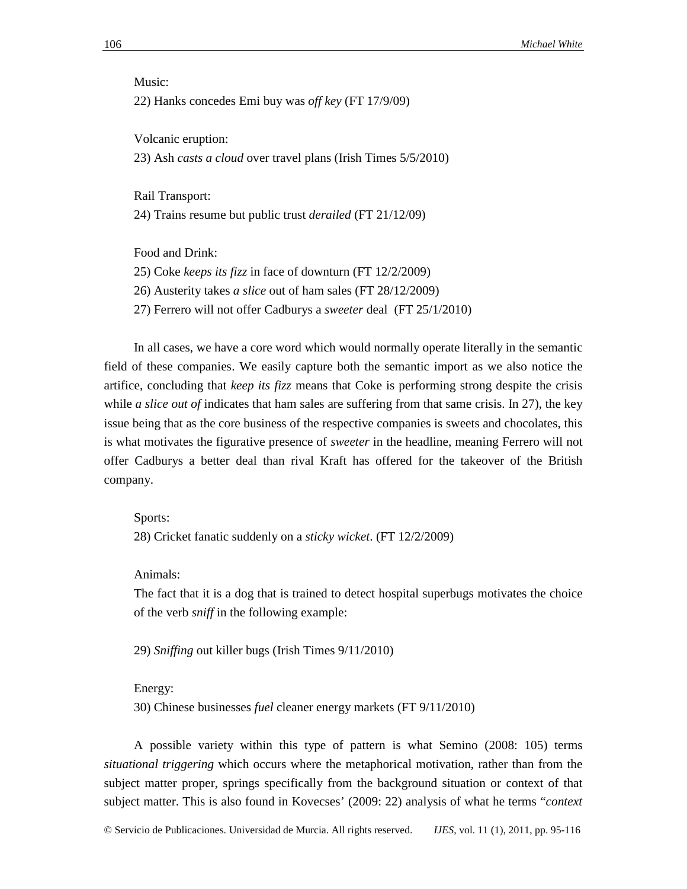Music:

22) Hanks concedes Emi buy was *off key* (FT 17/9/09)

Volcanic eruption:

23) Ash *casts a cloud* over travel plans (Irish Times 5/5/2010)

Rail Transport:

24) Trains resume but public trust *derailed* (FT 21/12/09)

Food and Drink:

25) Coke *keeps its fizz* in face of downturn (FT 12/2/2009)

26) Austerity takes *a slice* out of ham sales (FT 28/12/2009)

27) Ferrero will not offer Cadburys a *sweeter* deal (FT 25/1/2010)

In all cases, we have a core word which would normally operate literally in the semantic field of these companies. We easily capture both the semantic import as we also notice the artifice, concluding that *keep its fizz* means that Coke is performing strong despite the crisis while *a slice out of* indicates that ham sales are suffering from that same crisis. In 27), the key issue being that as the core business of the respective companies is sweets and chocolates, this is what motivates the figurative presence of *sweeter* in the headline, meaning Ferrero will not offer Cadburys a better deal than rival Kraft has offered for the takeover of the British company.

Sports:

28) Cricket fanatic suddenly on a *sticky wicket*. (FT 12/2/2009)

Animals:

The fact that it is a dog that is trained to detect hospital superbugs motivates the choice of the verb *sniff* in the following example:

29) *Sniffing* out killer bugs (Irish Times 9/11/2010)

#### Energy:

30) Chinese businesses *fuel* cleaner energy markets (FT 9/11/2010)

A possible variety within this type of pattern is what Semino (2008: 105) terms *situational triggering* which occurs where the metaphorical motivation, rather than from the subject matter proper, springs specifically from the background situation or context of that subject matter. This is also found in Kovecses' (2009: 22) analysis of what he terms "*context*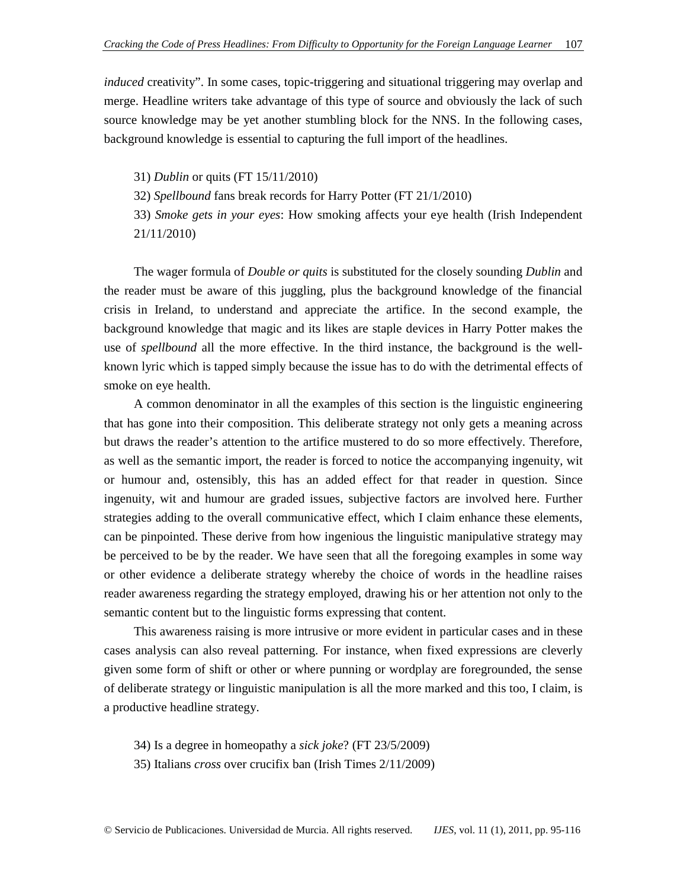*induced* creativity". In some cases, topic-triggering and situational triggering may overlap and merge. Headline writers take advantage of this type of source and obviously the lack of such source knowledge may be yet another stumbling block for the NNS. In the following cases, background knowledge is essential to capturing the full import of the headlines.

- 31) *Dublin* or quits (FT 15/11/2010)
- 32) *Spellbound* fans break records for Harry Potter (FT 21/1/2010)
- 33) *Smoke gets in your eyes*: How smoking affects your eye health (Irish Independent 21/11/2010)

The wager formula of *Double or quits* is substituted for the closely sounding *Dublin* and the reader must be aware of this juggling, plus the background knowledge of the financial crisis in Ireland, to understand and appreciate the artifice. In the second example, the background knowledge that magic and its likes are staple devices in Harry Potter makes the use of *spellbound* all the more effective. In the third instance, the background is the wellknown lyric which is tapped simply because the issue has to do with the detrimental effects of smoke on eye health.

A common denominator in all the examples of this section is the linguistic engineering that has gone into their composition. This deliberate strategy not only gets a meaning across but draws the reader's attention to the artifice mustered to do so more effectively. Therefore, as well as the semantic import, the reader is forced to notice the accompanying ingenuity, wit or humour and, ostensibly, this has an added effect for that reader in question. Since ingenuity, wit and humour are graded issues, subjective factors are involved here. Further strategies adding to the overall communicative effect, which I claim enhance these elements, can be pinpointed. These derive from how ingenious the linguistic manipulative strategy may be perceived to be by the reader. We have seen that all the foregoing examples in some way or other evidence a deliberate strategy whereby the choice of words in the headline raises reader awareness regarding the strategy employed, drawing his or her attention not only to the semantic content but to the linguistic forms expressing that content.

This awareness raising is more intrusive or more evident in particular cases and in these cases analysis can also reveal patterning. For instance, when fixed expressions are cleverly given some form of shift or other or where punning or wordplay are foregrounded, the sense of deliberate strategy or linguistic manipulation is all the more marked and this too, I claim, is a productive headline strategy.

- 34) Is a degree in homeopathy a *sick joke*? (FT 23/5/2009)
- 35) Italians *cross* over crucifix ban (Irish Times 2/11/2009)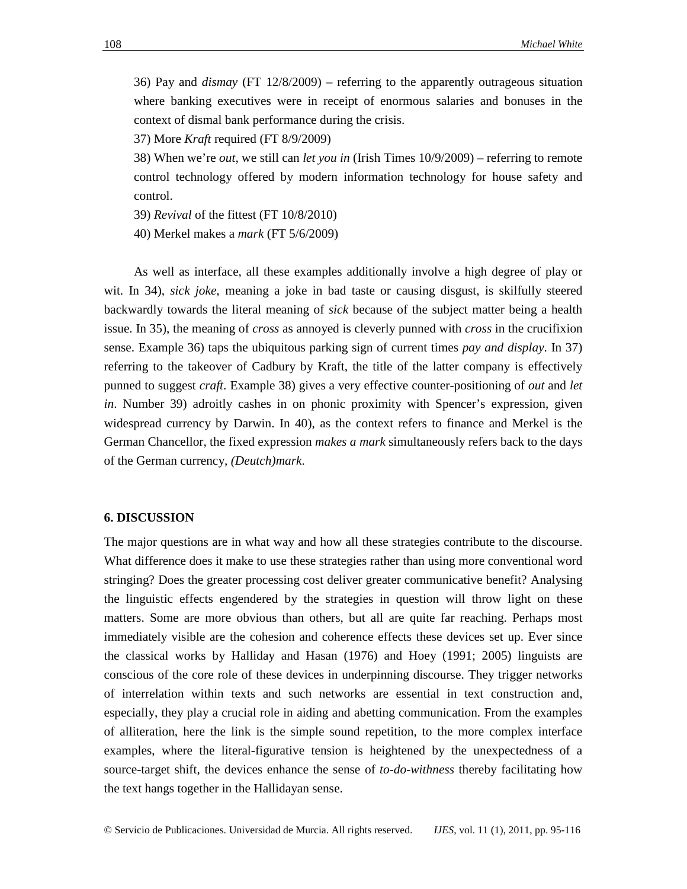36) Pay and *dismay* (FT 12/8/2009) – referring to the apparently outrageous situation where banking executives were in receipt of enormous salaries and bonuses in the context of dismal bank performance during the crisis.

37) More *Kraft* required (FT 8/9/2009)

38) When we're *out*, we still can *let you in* (Irish Times 10/9/2009) – referring to remote control technology offered by modern information technology for house safety and control.

39) *Revival* of the fittest (FT 10/8/2010)

40) Merkel makes a *mark* (FT 5/6/2009)

As well as interface, all these examples additionally involve a high degree of play or wit. In 34), *sick joke*, meaning a joke in bad taste or causing disgust, is skilfully steered backwardly towards the literal meaning of *sick* because of the subject matter being a health issue. In 35), the meaning of *cross* as annoyed is cleverly punned with *cross* in the crucifixion sense. Example 36) taps the ubiquitous parking sign of current times *pay and display*. In 37) referring to the takeover of Cadbury by Kraft, the title of the latter company is effectively punned to suggest *craft*. Example 38) gives a very effective counter-positioning of *out* and *let in*. Number 39) adroitly cashes in on phonic proximity with Spencer's expression, given widespread currency by Darwin. In 40), as the context refers to finance and Merkel is the German Chancellor, the fixed expression *makes a mark* simultaneously refers back to the days of the German currency, *(Deutch)mark*.

## **6. DISCUSSION**

The major questions are in what way and how all these strategies contribute to the discourse. What difference does it make to use these strategies rather than using more conventional word stringing? Does the greater processing cost deliver greater communicative benefit? Analysing the linguistic effects engendered by the strategies in question will throw light on these matters. Some are more obvious than others, but all are quite far reaching. Perhaps most immediately visible are the cohesion and coherence effects these devices set up. Ever since the classical works by Halliday and Hasan (1976) and Hoey (1991; 2005) linguists are conscious of the core role of these devices in underpinning discourse. They trigger networks of interrelation within texts and such networks are essential in text construction and, especially, they play a crucial role in aiding and abetting communication. From the examples of alliteration, here the link is the simple sound repetition, to the more complex interface examples, where the literal-figurative tension is heightened by the unexpectedness of a source-target shift, the devices enhance the sense of *to-do-withness* thereby facilitating how the text hangs together in the Hallidayan sense.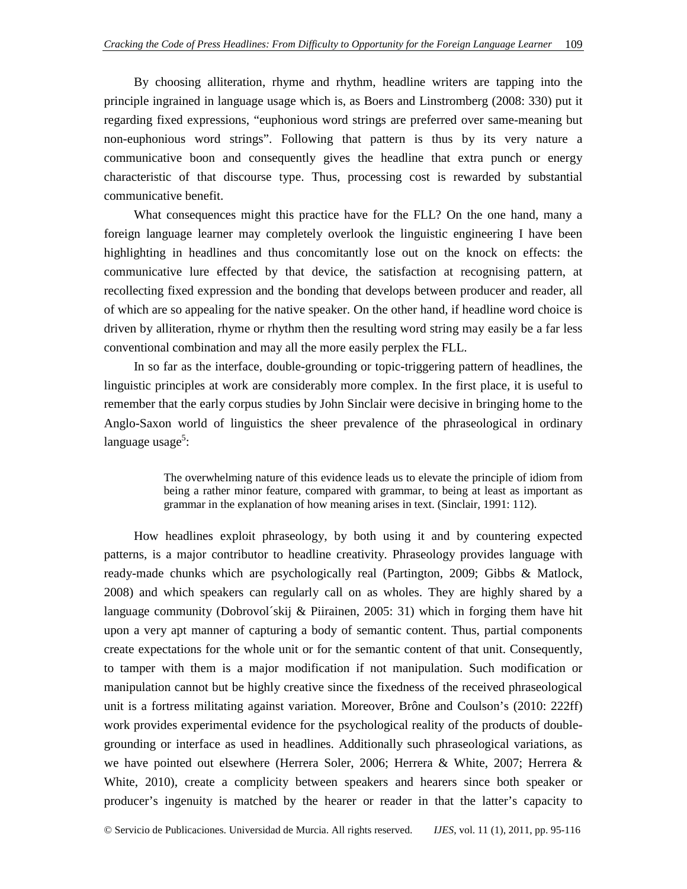By choosing alliteration, rhyme and rhythm, headline writers are tapping into the principle ingrained in language usage which is, as Boers and Linstromberg (2008: 330) put it regarding fixed expressions, "euphonious word strings are preferred over same-meaning but non-euphonious word strings". Following that pattern is thus by its very nature a communicative boon and consequently gives the headline that extra punch or energy characteristic of that discourse type. Thus, processing cost is rewarded by substantial communicative benefit.

What consequences might this practice have for the FLL? On the one hand, many a foreign language learner may completely overlook the linguistic engineering I have been highlighting in headlines and thus concomitantly lose out on the knock on effects: the communicative lure effected by that device, the satisfaction at recognising pattern, at recollecting fixed expression and the bonding that develops between producer and reader, all of which are so appealing for the native speaker. On the other hand, if headline word choice is driven by alliteration, rhyme or rhythm then the resulting word string may easily be a far less conventional combination and may all the more easily perplex the FLL.

In so far as the interface, double-grounding or topic-triggering pattern of headlines, the linguistic principles at work are considerably more complex. In the first place, it is useful to remember that the early corpus studies by John Sinclair were decisive in bringing home to the Anglo-Saxon world of linguistics the sheer prevalence of the phraseological in ordinary language usage<sup>5</sup>:

> The overwhelming nature of this evidence leads us to elevate the principle of idiom from being a rather minor feature, compared with grammar, to being at least as important as grammar in the explanation of how meaning arises in text. (Sinclair, 1991: 112).

How headlines exploit phraseology, by both using it and by countering expected patterns, is a major contributor to headline creativity. Phraseology provides language with ready-made chunks which are psychologically real (Partington, 2009; Gibbs & Matlock, 2008) and which speakers can regularly call on as wholes. They are highly shared by a language community (Dobrovol´skij & Piirainen, 2005: 31) which in forging them have hit upon a very apt manner of capturing a body of semantic content. Thus, partial components create expectations for the whole unit or for the semantic content of that unit. Consequently, to tamper with them is a major modification if not manipulation. Such modification or manipulation cannot but be highly creative since the fixedness of the received phraseological unit is a fortress militating against variation. Moreover, Brône and Coulson's (2010: 222ff) work provides experimental evidence for the psychological reality of the products of doublegrounding or interface as used in headlines. Additionally such phraseological variations, as we have pointed out elsewhere (Herrera Soler, 2006; Herrera & White, 2007; Herrera & White, 2010), create a complicity between speakers and hearers since both speaker or producer's ingenuity is matched by the hearer or reader in that the latter's capacity to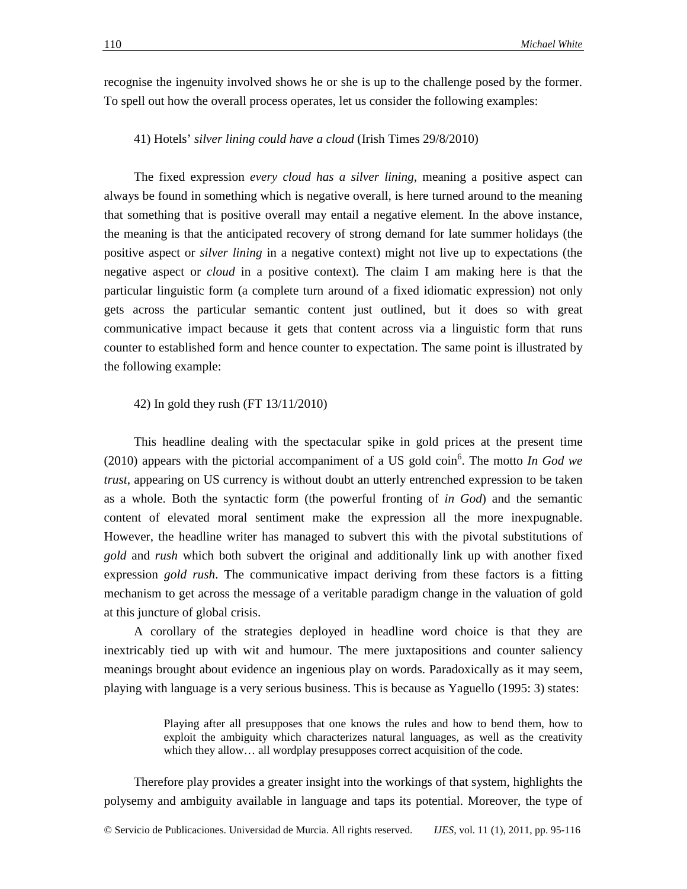recognise the ingenuity involved shows he or she is up to the challenge posed by the former. To spell out how the overall process operates, let us consider the following examples:

#### 41) Hotels' *silver lining could have a cloud* (Irish Times 29/8/2010)

The fixed expression *every cloud has a silver lining*, meaning a positive aspect can always be found in something which is negative overall, is here turned around to the meaning that something that is positive overall may entail a negative element. In the above instance, the meaning is that the anticipated recovery of strong demand for late summer holidays (the positive aspect or *silver lining* in a negative context) might not live up to expectations (the negative aspect or *cloud* in a positive context). The claim I am making here is that the particular linguistic form (a complete turn around of a fixed idiomatic expression) not only gets across the particular semantic content just outlined, but it does so with great communicative impact because it gets that content across via a linguistic form that runs counter to established form and hence counter to expectation. The same point is illustrated by the following example:

## 42) In gold they rush (FT 13/11/2010)

This headline dealing with the spectacular spike in gold prices at the present time  $(2010)$  appears with the pictorial accompaniment of a US gold coin<sup>6</sup>. The motto *In God we trust*, appearing on US currency is without doubt an utterly entrenched expression to be taken as a whole. Both the syntactic form (the powerful fronting of *in God*) and the semantic content of elevated moral sentiment make the expression all the more inexpugnable. However, the headline writer has managed to subvert this with the pivotal substitutions of *gold* and *rush* which both subvert the original and additionally link up with another fixed expression *gold rush*. The communicative impact deriving from these factors is a fitting mechanism to get across the message of a veritable paradigm change in the valuation of gold at this juncture of global crisis.

A corollary of the strategies deployed in headline word choice is that they are inextricably tied up with wit and humour. The mere juxtapositions and counter saliency meanings brought about evidence an ingenious play on words. Paradoxically as it may seem, playing with language is a very serious business. This is because as Yaguello (1995: 3) states:

> Playing after all presupposes that one knows the rules and how to bend them, how to exploit the ambiguity which characterizes natural languages, as well as the creativity which they allow… all wordplay presupposes correct acquisition of the code.

Therefore play provides a greater insight into the workings of that system, highlights the polysemy and ambiguity available in language and taps its potential. Moreover, the type of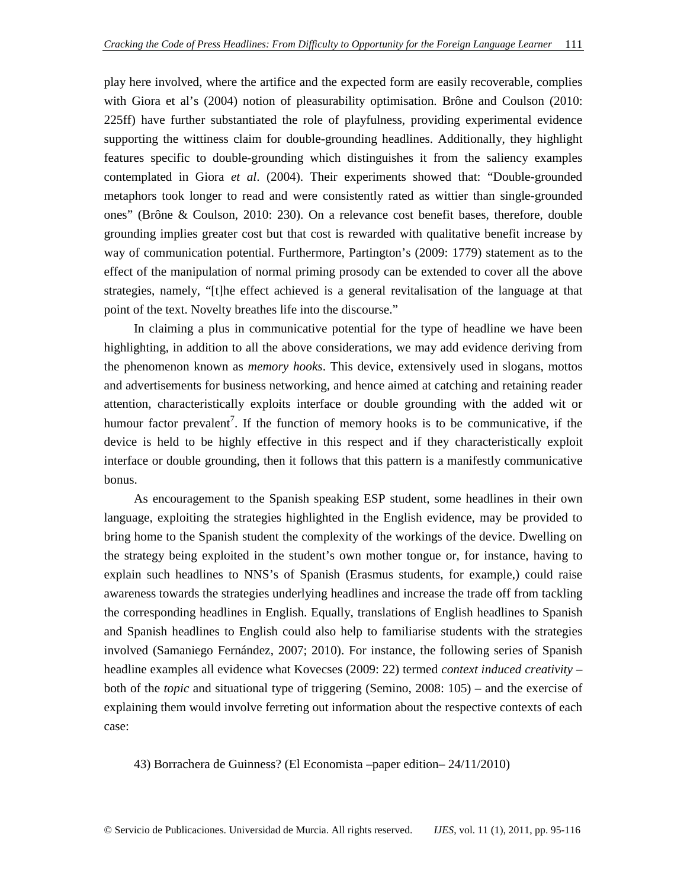play here involved, where the artifice and the expected form are easily recoverable, complies with Giora et al's (2004) notion of pleasurability optimisation. Brône and Coulson (2010: 225ff) have further substantiated the role of playfulness, providing experimental evidence supporting the wittiness claim for double-grounding headlines. Additionally, they highlight features specific to double-grounding which distinguishes it from the saliency examples contemplated in Giora *et al*. (2004). Their experiments showed that: "Double-grounded metaphors took longer to read and were consistently rated as wittier than single-grounded ones" (Brône & Coulson, 2010: 230). On a relevance cost benefit bases, therefore, double grounding implies greater cost but that cost is rewarded with qualitative benefit increase by way of communication potential. Furthermore, Partington's (2009: 1779) statement as to the effect of the manipulation of normal priming prosody can be extended to cover all the above strategies, namely, "[t]he effect achieved is a general revitalisation of the language at that point of the text. Novelty breathes life into the discourse."

In claiming a plus in communicative potential for the type of headline we have been highlighting, in addition to all the above considerations, we may add evidence deriving from the phenomenon known as *memory hooks*. This device, extensively used in slogans, mottos and advertisements for business networking, and hence aimed at catching and retaining reader attention, characteristically exploits interface or double grounding with the added wit or humour factor prevalent<sup>7</sup>. If the function of memory hooks is to be communicative, if the device is held to be highly effective in this respect and if they characteristically exploit interface or double grounding, then it follows that this pattern is a manifestly communicative bonus.

As encouragement to the Spanish speaking ESP student, some headlines in their own language, exploiting the strategies highlighted in the English evidence, may be provided to bring home to the Spanish student the complexity of the workings of the device. Dwelling on the strategy being exploited in the student's own mother tongue or, for instance, having to explain such headlines to NNS's of Spanish (Erasmus students, for example,) could raise awareness towards the strategies underlying headlines and increase the trade off from tackling the corresponding headlines in English. Equally, translations of English headlines to Spanish and Spanish headlines to English could also help to familiarise students with the strategies involved (Samaniego Fernández, 2007; 2010). For instance, the following series of Spanish headline examples all evidence what Kovecses (2009: 22) termed *context induced creativity* – both of the *topic* and situational type of triggering (Semino, 2008: 105) – and the exercise of explaining them would involve ferreting out information about the respective contexts of each case:

43) Borrachera de Guinness? (El Economista –paper edition– 24/11/2010)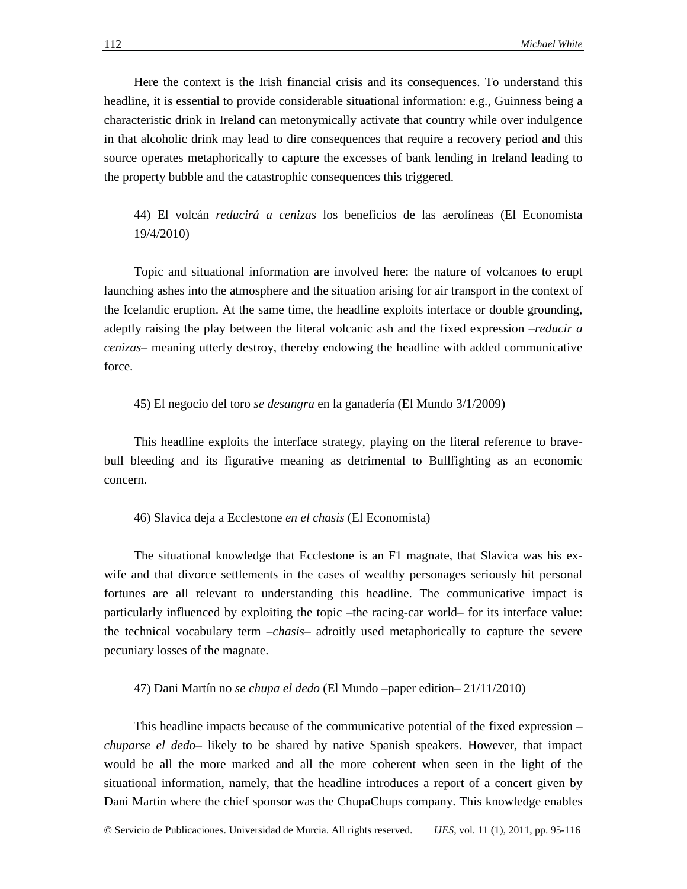Here the context is the Irish financial crisis and its consequences. To understand this headline, it is essential to provide considerable situational information: e.g., Guinness being a characteristic drink in Ireland can metonymically activate that country while over indulgence in that alcoholic drink may lead to dire consequences that require a recovery period and this source operates metaphorically to capture the excesses of bank lending in Ireland leading to the property bubble and the catastrophic consequences this triggered.

44) El volcán *reducirá a cenizas* los beneficios de las aerolíneas (El Economista 19/4/2010)

Topic and situational information are involved here: the nature of volcanoes to erupt launching ashes into the atmosphere and the situation arising for air transport in the context of the Icelandic eruption. At the same time, the headline exploits interface or double grounding, adeptly raising the play between the literal volcanic ash and the fixed expression –*reducir a cenizas*– meaning utterly destroy, thereby endowing the headline with added communicative force.

## 45) El negocio del toro *se desangra* en la ganadería (El Mundo 3/1/2009)

This headline exploits the interface strategy, playing on the literal reference to bravebull bleeding and its figurative meaning as detrimental to Bullfighting as an economic concern.

## 46) Slavica deja a Ecclestone *en el chasis* (El Economista)

The situational knowledge that Ecclestone is an F1 magnate, that Slavica was his exwife and that divorce settlements in the cases of wealthy personages seriously hit personal fortunes are all relevant to understanding this headline. The communicative impact is particularly influenced by exploiting the topic –the racing-car world– for its interface value: the technical vocabulary term –*chasis*– adroitly used metaphorically to capture the severe pecuniary losses of the magnate.

## 47) Dani Martín no *se chupa el dedo* (El Mundo –paper edition– 21/11/2010)

This headline impacts because of the communicative potential of the fixed expression – *chuparse el dedo*– likely to be shared by native Spanish speakers. However, that impact would be all the more marked and all the more coherent when seen in the light of the situational information, namely, that the headline introduces a report of a concert given by Dani Martin where the chief sponsor was the ChupaChups company. This knowledge enables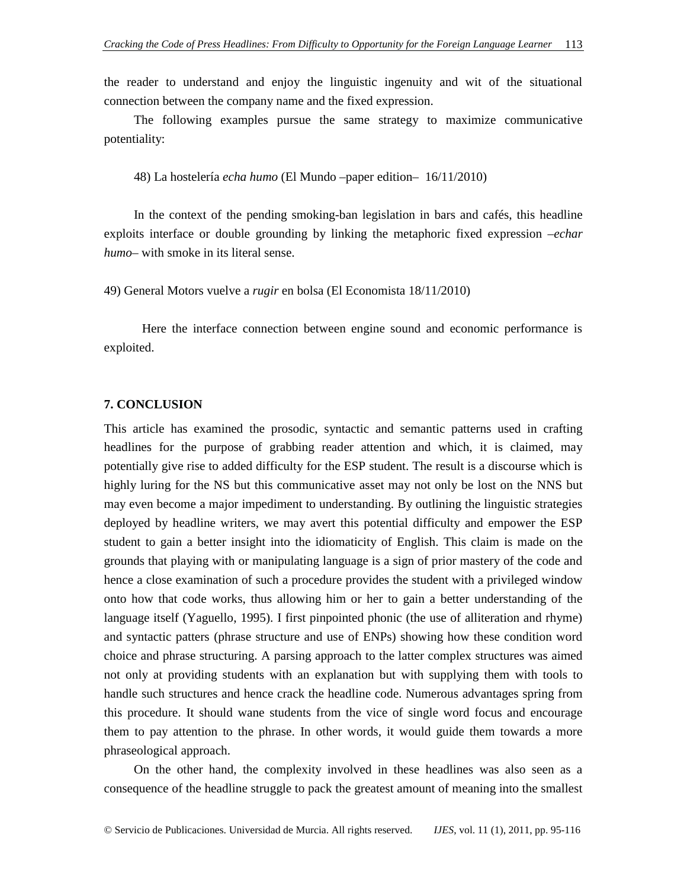the reader to understand and enjoy the linguistic ingenuity and wit of the situational connection between the company name and the fixed expression.

The following examples pursue the same strategy to maximize communicative potentiality:

48) La hostelería *echa humo* (El Mundo –paper edition– 16/11/2010)

In the context of the pending smoking-ban legislation in bars and cafés, this headline exploits interface or double grounding by linking the metaphoric fixed expression –*echar humo*– with smoke in its literal sense.

49) General Motors vuelve a *rugir* en bolsa (El Economista 18/11/2010)

Here the interface connection between engine sound and economic performance is exploited.

## **7. CONCLUSION**

This article has examined the prosodic, syntactic and semantic patterns used in crafting headlines for the purpose of grabbing reader attention and which, it is claimed, may potentially give rise to added difficulty for the ESP student. The result is a discourse which is highly luring for the NS but this communicative asset may not only be lost on the NNS but may even become a major impediment to understanding. By outlining the linguistic strategies deployed by headline writers, we may avert this potential difficulty and empower the ESP student to gain a better insight into the idiomaticity of English. This claim is made on the grounds that playing with or manipulating language is a sign of prior mastery of the code and hence a close examination of such a procedure provides the student with a privileged window onto how that code works, thus allowing him or her to gain a better understanding of the language itself (Yaguello, 1995). I first pinpointed phonic (the use of alliteration and rhyme) and syntactic patters (phrase structure and use of ENPs) showing how these condition word choice and phrase structuring. A parsing approach to the latter complex structures was aimed not only at providing students with an explanation but with supplying them with tools to handle such structures and hence crack the headline code. Numerous advantages spring from this procedure. It should wane students from the vice of single word focus and encourage them to pay attention to the phrase. In other words, it would guide them towards a more phraseological approach.

On the other hand, the complexity involved in these headlines was also seen as a consequence of the headline struggle to pack the greatest amount of meaning into the smallest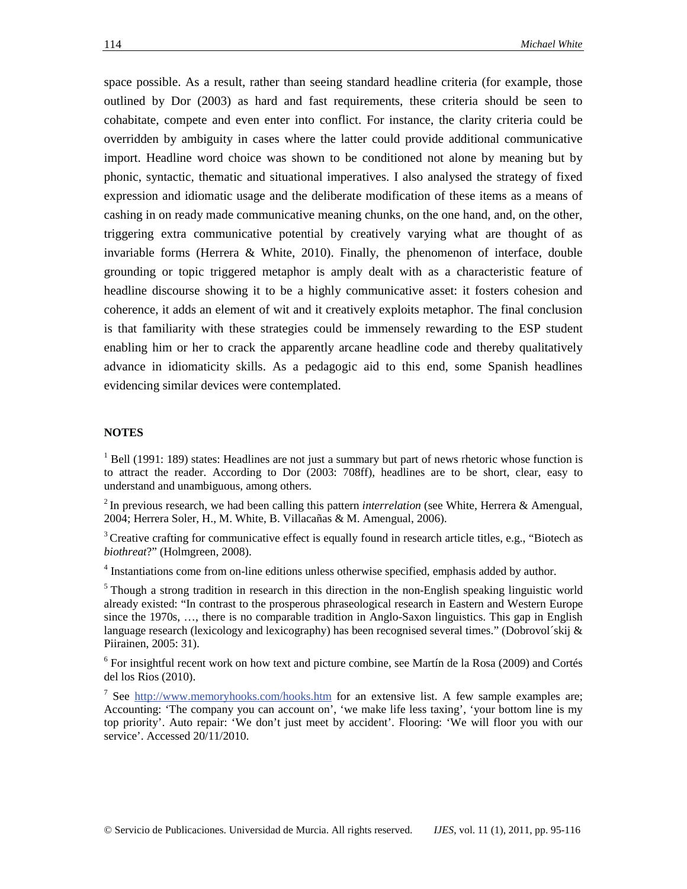space possible. As a result, rather than seeing standard headline criteria (for example, those outlined by Dor (2003) as hard and fast requirements, these criteria should be seen to cohabitate, compete and even enter into conflict. For instance, the clarity criteria could be overridden by ambiguity in cases where the latter could provide additional communicative import. Headline word choice was shown to be conditioned not alone by meaning but by phonic, syntactic, thematic and situational imperatives. I also analysed the strategy of fixed expression and idiomatic usage and the deliberate modification of these items as a means of cashing in on ready made communicative meaning chunks, on the one hand, and, on the other, triggering extra communicative potential by creatively varying what are thought of as invariable forms (Herrera & White, 2010). Finally, the phenomenon of interface, double grounding or topic triggered metaphor is amply dealt with as a characteristic feature of headline discourse showing it to be a highly communicative asset: it fosters cohesion and coherence, it adds an element of wit and it creatively exploits metaphor. The final conclusion is that familiarity with these strategies could be immensely rewarding to the ESP student enabling him or her to crack the apparently arcane headline code and thereby qualitatively advance in idiomaticity skills. As a pedagogic aid to this end, some Spanish headlines evidencing similar devices were contemplated.

## **NOTES**

 $<sup>1</sup>$  Bell (1991: 189) states: Headlines are not just a summary but part of news rhetoric whose function is</sup> to attract the reader. According to Dor (2003: 708ff), headlines are to be short, clear, easy to understand and unambiguous, among others.

<sup>2</sup> In previous research, we had been calling this pattern *interrelation* (see White, Herrera & Amengual, 2004; Herrera Soler, H., M. White, B. Villacañas & M. Amengual, 2006).

<sup>3</sup> Creative crafting for communicative effect is equally found in research article titles, e.g., "Biotech as *biothreat*?" (Holmgreen, 2008).

<sup>4</sup> Instantiations come from on-line editions unless otherwise specified, emphasis added by author.

<sup>5</sup> Though a strong tradition in research in this direction in the non-English speaking linguistic world already existed: "In contrast to the prosperous phraseological research in Eastern and Western Europe since the 1970s, …, there is no comparable tradition in Anglo-Saxon linguistics. This gap in English language research (lexicology and lexicography) has been recognised several times." (Dobrovol'skij & Piirainen, 2005: 31).

<sup>6</sup> For insightful recent work on how text and picture combine, see Martín de la Rosa (2009) and Cortés del los Rios (2010).

<sup>7</sup> See http://www.memoryhooks.com/hooks.htm for an extensive list. A few sample examples are; Accounting: 'The company you can account on', 'we make life less taxing', 'your bottom line is my top priority'. Auto repair: 'We don't just meet by accident'. Flooring: 'We will floor you with our service'. Accessed 20/11/2010.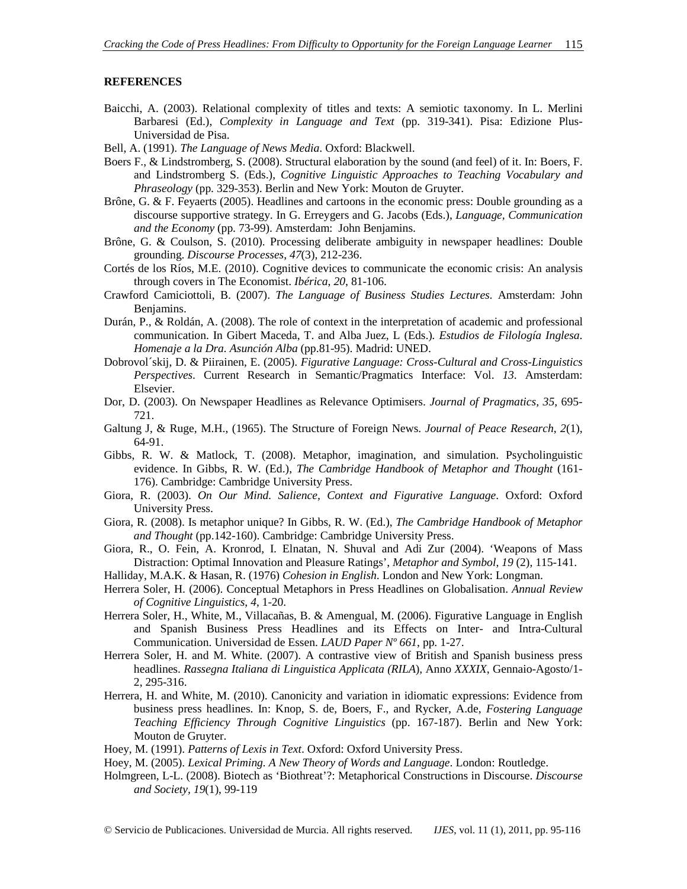### **REFERENCES**

- Baicchi, A. (2003). Relational complexity of titles and texts: A semiotic taxonomy. In L. Merlini Barbaresi (Ed.), *Complexity in Language and Text* (pp. 319-341). Pisa: Edizione Plus-Universidad de Pisa.
- Bell, A. (1991). *The Language of News Media*. Oxford: Blackwell.
- Boers F., & Lindstromberg, S. (2008). Structural elaboration by the sound (and feel) of it. In: Boers, F. and Lindstromberg S. (Eds.), *Cognitive Linguistic Approaches to Teaching Vocabulary and Phraseology* (pp. 329-353). Berlin and New York: Mouton de Gruyter.
- Brône, G. & F. Feyaerts (2005). Headlines and cartoons in the economic press: Double grounding as a discourse supportive strategy. In G. Erreygers and G. Jacobs (Eds.), *Language, Communication and the Economy* (pp. 73-99). Amsterdam: John Benjamins.
- Brône, G. & Coulson, S. (2010). Processing deliberate ambiguity in newspaper headlines: Double grounding. *Discourse Processes*, *47*(3), 212-236.
- Cortés de los Ríos, M.E. (2010). Cognitive devices to communicate the economic crisis: An analysis through covers in The Economist. *Ibérica*, *20*, 81-106.
- Crawford Camiciottoli, B. (2007). *The Language of Business Studies Lectures*. Amsterdam: John Benjamins.
- Durán, P., & Roldán, A. (2008). The role of context in the interpretation of academic and professional communication. In Gibert Maceda, T. and Alba Juez, L (Eds.)*. Estudios de Filología Inglesa*. *Homenaje a la Dra. Asunción Alba* (pp.81-95). Madrid: UNED.
- Dobrovol´skij, D. & Piirainen, E. (2005). *Figurative Language: Cross-Cultural and Cross-Linguistics Perspectives*. Current Research in Semantic/Pragmatics Interface: Vol. *13*. Amsterdam: Elsevier.
- Dor, D. (2003). On Newspaper Headlines as Relevance Optimisers. *Journal of Pragmatics, 35*, 695- 721.
- Galtung J, & Ruge, M.H., (1965). The Structure of Foreign News. *Journal of Peace Research*, *2*(1), 64-91.
- Gibbs, R. W. & Matlock, T. (2008). Metaphor, imagination, and simulation. Psycholinguistic evidence. In Gibbs, R. W. (Ed.), *The Cambridge Handbook of Metaphor and Thought* (161- 176). Cambridge: Cambridge University Press.
- Giora, R. (2003). *On Our Mind. Salience, Context and Figurative Language*. Oxford: Oxford University Press.
- Giora, R. (2008). Is metaphor unique? In Gibbs, R. W. (Ed.), *The Cambridge Handbook of Metaphor and Thought* (pp.142-160). Cambridge: Cambridge University Press.
- Giora, R., O. Fein, A. Kronrod, I. Elnatan, N. Shuval and Adi Zur (2004). 'Weapons of Mass Distraction: Optimal Innovation and Pleasure Ratings', *Metaphor and Symbol*, *19* (2), 115-141.
- Halliday, M.A.K. & Hasan, R. (1976) *Cohesion in English*. London and New York: Longman.
- Herrera Soler, H. (2006). Conceptual Metaphors in Press Headlines on Globalisation. *Annual Review of Cognitive Linguistics*, *4*, 1-20.
- Herrera Soler, H., White, M., Villacañas, B. & Amengual, M. (2006). Figurative Language in English and Spanish Business Press Headlines and its Effects on Inter- and Intra-Cultural Communication. Universidad de Essen. *LAUD Paper Nº 661*, pp. 1-27.
- Herrera Soler, H. and M. White. (2007). A contrastive view of British and Spanish business press headlines. *Rassegna Italiana di Linguistica Applicata (RILA*), Anno *XXXIX*, Gennaio-Agosto/1- 2, 295-316.
- Herrera, H. and White, M. (2010). Canonicity and variation in idiomatic expressions: Evidence from business press headlines. In: Knop, S. de, Boers, F., and Rycker, A.de, *Fostering Language Teaching Efficiency Through Cognitive Linguistics* (pp. 167-187). Berlin and New York: Mouton de Gruyter.
- Hoey, M. (1991). *Patterns of Lexis in Text*. Oxford: Oxford University Press.
- Hoey, M. (2005). *Lexical Priming. A New Theory of Words and Language*. London: Routledge.
- Holmgreen, L-L. (2008). Biotech as 'Biothreat'?: Metaphorical Constructions in Discourse. *Discourse and Society, 19*(1), 99-119